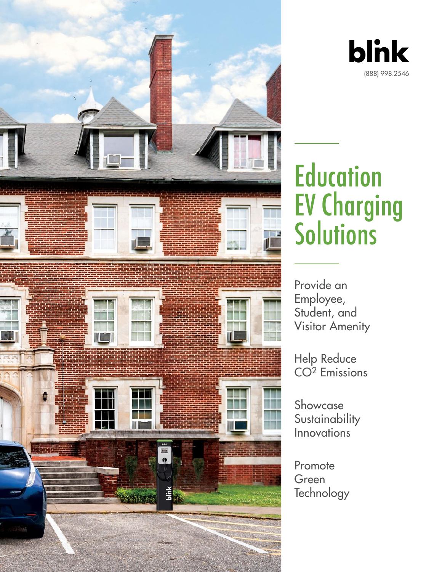



# **Education** EV Charging **Solutions**

Provide an Employee, Student, and Visitor Amenity

Help Reduce CO2 Emissions

Showcase **Sustainability** Innovations

Promote Green **Technology**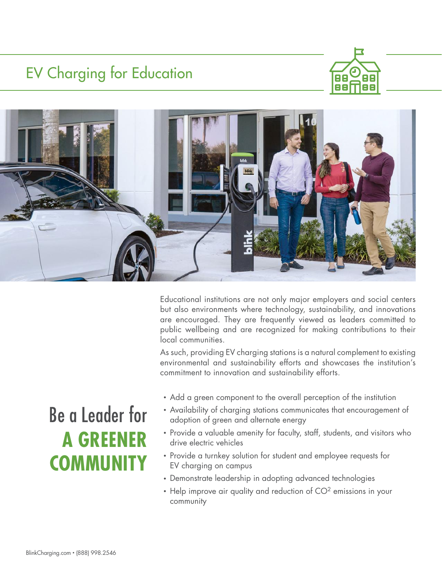## EV Charging for Education





Educational institutions are not only major employers and social centers but also environments where technology, sustainability, and innovations are encouraged. They are frequently viewed as leaders committed to public wellbeing and are recognized for making contributions to their local communities.

As such, providing EV charging stations is a natural complement to existing environmental and sustainability efforts and showcases the institution's commitment to innovation and sustainability efforts.

- Add a green component to the overall perception of the institution
- Availability of charging stations communicates that encouragement of adoption of green and alternate energy
- Provide a valuable amenity for faculty, staff, students, and visitors who drive electric vehicles
- Provide a turnkey solution for student and employee requests for EV charging on campus
- Demonstrate leadership in adopting advanced technologies
- $\cdot$  Help improve air quality and reduction of  $CO<sup>2</sup>$  emissions in your community

# Be a Leader for **A GREENER COMMUNITY**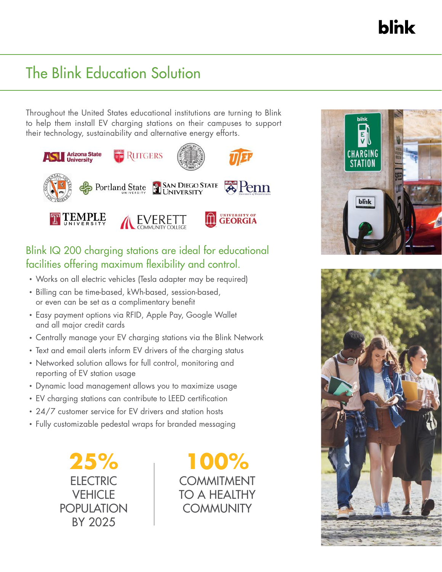**blnk** 

### The Blink Education Solution

Throughout the United States educational institutions are turning to Blink to help them install EV charging stations on their campuses to support their technology, sustainability and alternative energy efforts.



#### Blink IQ 200 charging stations are ideal for educational facilities offering maximum flexibility and control.

- Works on all electric vehicles (Tesla adapter may be required)
- Billing can be time-based, kWh-based, session-based, or even can be set as a complimentary benefit
- Easy payment options via RFID, Apple Pay, Google Wallet and all major credit cards
- Centrally manage your EV charging stations via the Blink Network
- Text and email alerts inform EV drivers of the charging status
- Networked solution allows for full control, monitoring and reporting of EV station usage
- Dynamic load management allows you to maximize usage
- EV charging stations can contribute to LEED certification
- 24/7 customer service for EV drivers and station hosts
- Fully customizable pedestal wraps for branded messaging

**25% ELECTRIC VEHICLE** POPULATION BY 2025

**100%** COMMITMENT TO A HEALTHY **COMMUNITY**